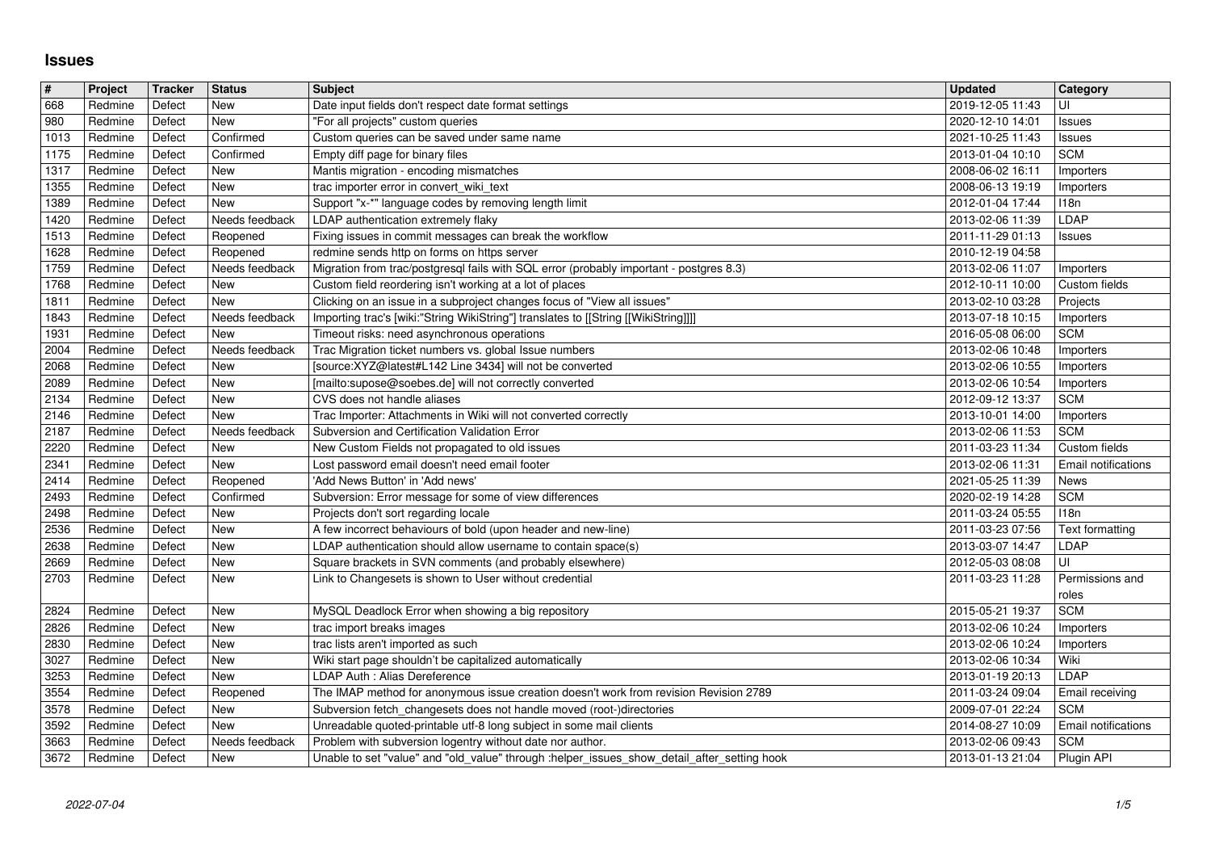## **Issues**

| $\pmb{\#}$   | Project            | Tracker          | <b>Status</b>              | <b>Subject</b>                                                                                                                                                 | <b>Updated</b>                       | <b>Category</b>                          |
|--------------|--------------------|------------------|----------------------------|----------------------------------------------------------------------------------------------------------------------------------------------------------------|--------------------------------------|------------------------------------------|
| 668<br>980   | Redmine<br>Redmine | Defect<br>Defect | <b>New</b><br>New          | Date input fields don't respect date format settings<br>"For all projects" custom queries                                                                      | 2019-12-05 11:43<br>2020-12-10 14:01 | UI<br>Issues                             |
| 1013         | Redmine            | Defect           | Confirmed                  | Custom queries can be saved under same name                                                                                                                    | 2021-10-25 11:43                     | Issues                                   |
| 1175<br>1317 | Redmine<br>Redmine | Defect<br>Defect | Confirmed<br>New           | Empty diff page for binary files<br>Mantis migration - encoding mismatches                                                                                     | 2013-01-04 10:10<br>2008-06-02 16:11 | <b>SCM</b><br>Importers                  |
| 1355         | Redmine            | Defect           | New                        | trac importer error in convert_wiki_text                                                                                                                       | 2008-06-13 19:19                     | Importers                                |
| 1389<br>1420 | Redmine<br>Redmine | Defect<br>Defect | New<br>Needs feedback      | Support "x-*" language codes by removing length limit<br>LDAP authentication extremely flaky                                                                   | 2012-01-04 17:44<br>2013-02-06 11:39 | 118n<br>LDAP                             |
| 1513         | Redmine            | Defect           | Reopened                   | Fixing issues in commit messages can break the workflow                                                                                                        | 2011-11-29 01:13                     | Issues                                   |
| 1628<br>1759 | Redmine<br>Redmine | Defect<br>Defect | Reopened<br>Needs feedback | redmine sends http on forms on https server<br>Migration from trac/postgresql fails with SQL error (probably important - postgres 8.3)                         | 2010-12-19 04:58<br>2013-02-06 11:07 | Importers                                |
| 1768         | Redmine            | Defect           | New                        | Custom field reordering isn't working at a lot of places                                                                                                       | 2012-10-11 10:00                     | Custom fields                            |
| 1811<br>1843 | Redmine<br>Redmine | Defect<br>Defect | New<br>Needs feedback      | Clicking on an issue in a subproject changes focus of "View all issues"<br>Importing trac's [wiki:"String WikiString"] translates to [[String [[WikiString]]]] | 2013-02-10 03:28<br>2013-07-18 10:15 | Projects<br>Importers                    |
| 1931         | Redmine            | Defect           | New                        | Timeout risks: need asynchronous operations                                                                                                                    | 2016-05-08 06:00                     | <b>SCM</b>                               |
| 2004<br>2068 | Redmine<br>Redmine | Defect<br>Defect | Needs feedback<br>New      | Trac Migration ticket numbers vs. global Issue numbers<br>[source:XYZ@latest#L142 Line 3434] will not be converted                                             | 2013-02-06 10:48<br>2013-02-06 10:55 | Importers<br>Importers                   |
| 2089         | Redmine            | Defect           | New                        | [mailto:supose@soebes.de] will not correctly converted                                                                                                         | 2013-02-06 10:54                     | Importers                                |
| 2134<br>2146 | Redmine<br>Redmine | Defect<br>Defect | <b>New</b><br><b>New</b>   | CVS does not handle aliases<br>Trac Importer: Attachments in Wiki will not converted correctly                                                                 | 2012-09-12 13:37<br>2013-10-01 14:00 | <b>SCM</b><br>Importers                  |
| 2187         | Redmine            | Defect           | Needs feedback             | Subversion and Certification Validation Error                                                                                                                  | 2013-02-06 11:53                     | <b>SCM</b>                               |
| 2220<br>2341 | Redmine<br>Redmine | Defect<br>Defect | New<br>New                 | New Custom Fields not propagated to old issues<br>Lost password email doesn't need email footer                                                                | 2011-03-23 11:34<br>2013-02-06 11:31 | Custom fields<br>Email notifications     |
| 2414         | Redmine            | Defect           | Reopened                   | 'Add News Button' in 'Add news'                                                                                                                                | 2021-05-25 11:39                     | News                                     |
| 2493         | Redmine<br>Redmine | Defect           | Confirmed                  | Subversion: Error message for some of view differences                                                                                                         | 2020-02-19 14:28<br>2011-03-24 05:55 | <b>SCM</b>                               |
| 2498<br>2536 | Redmine            | Defect<br>Defect | New<br><b>New</b>          | Projects don't sort regarding locale<br>A few incorrect behaviours of bold (upon header and new-line)                                                          | 2011-03-23 07:56                     | 118n<br>Text formatting                  |
| 2638         | Redmine            | Defect           | <b>New</b><br><b>New</b>   | LDAP authentication should allow username to contain space(s)                                                                                                  | 2013-03-07 14:47                     | LDAP                                     |
| 2669<br>2703 | Redmine<br>Redmine | Defect<br>Defect | New                        | Square brackets in SVN comments (and probably elsewhere)<br>Link to Changesets is shown to User without credential                                             | 2012-05-03 08:08<br>2011-03-23 11:28 | UI<br>Permissions and                    |
|              |                    |                  |                            |                                                                                                                                                                |                                      | roles                                    |
| 2824<br>2826 | Redmine<br>Redmine | Defect<br>Defect | New<br>New                 | MySQL Deadlock Error when showing a big repository<br>trac import breaks images                                                                                | 2015-05-21 19:37<br>2013-02-06 10:24 | <b>SCM</b><br>Importers                  |
| 2830         | Redmine            | Defect           | New                        | trac lists aren't imported as such                                                                                                                             | 2013-02-06 10:24                     | Importers                                |
| 3027<br>3253 | Redmine<br>Redmine | Defect<br>Defect | New<br>New                 | Wiki start page shouldn't be capitalized automatically<br>LDAP Auth : Alias Dereference                                                                        | 2013-02-06 10:34<br>2013-01-19 20:13 | Wiki<br>LDAP                             |
| 3554         | Redmine            | Defect           | Reopened                   | The IMAP method for anonymous issue creation doesn't work from revision Revision 2789                                                                          | 2011-03-24 09:04                     | Email receiving                          |
| 3578<br>3592 | Redmine<br>Redmine | Defect<br>Defect | New<br>New                 | Subversion fetch_changesets does not handle moved (root-)directories<br>Unreadable quoted-printable utf-8 long subject in some mail clients                    | 2009-07-01 22:24<br>2014-08-27 10:09 | <b>SCM</b><br><b>Email notifications</b> |
| 3663<br>3672 | Redmine<br>Redmine | Defect<br>Defect | Needs feedback<br>New      | Problem with subversion logentry without date nor author.<br>Unable to set "value" and "old_value" through :helper_issues_show_detail_after_setting hook       | 2013-02-06 09:43<br>2013-01-13 21:04 | <b>SCM</b><br>Plugin API                 |
|              |                    |                  |                            |                                                                                                                                                                |                                      |                                          |
|              |                    |                  |                            |                                                                                                                                                                |                                      |                                          |
|              |                    |                  |                            |                                                                                                                                                                |                                      |                                          |
|              |                    |                  |                            |                                                                                                                                                                |                                      |                                          |
|              |                    |                  |                            |                                                                                                                                                                |                                      |                                          |
|              |                    |                  |                            |                                                                                                                                                                |                                      |                                          |
|              |                    |                  |                            |                                                                                                                                                                |                                      |                                          |
|              |                    |                  |                            |                                                                                                                                                                |                                      |                                          |
|              |                    |                  |                            |                                                                                                                                                                |                                      |                                          |
|              |                    |                  |                            |                                                                                                                                                                |                                      |                                          |
|              |                    |                  |                            |                                                                                                                                                                |                                      |                                          |
|              |                    |                  |                            |                                                                                                                                                                |                                      |                                          |
|              |                    |                  |                            |                                                                                                                                                                |                                      |                                          |
|              |                    |                  |                            |                                                                                                                                                                |                                      |                                          |
|              |                    |                  |                            |                                                                                                                                                                |                                      |                                          |
|              |                    |                  |                            |                                                                                                                                                                |                                      |                                          |
|              |                    |                  |                            |                                                                                                                                                                |                                      |                                          |
|              |                    |                  |                            |                                                                                                                                                                |                                      |                                          |
|              |                    |                  |                            |                                                                                                                                                                |                                      |                                          |
|              |                    |                  |                            |                                                                                                                                                                |                                      |                                          |
|              |                    |                  |                            |                                                                                                                                                                |                                      |                                          |
|              |                    |                  |                            |                                                                                                                                                                |                                      |                                          |
|              |                    |                  |                            |                                                                                                                                                                |                                      |                                          |
|              |                    |                  |                            |                                                                                                                                                                |                                      |                                          |
|              |                    |                  |                            |                                                                                                                                                                |                                      |                                          |
|              |                    |                  |                            |                                                                                                                                                                |                                      |                                          |
|              |                    |                  |                            |                                                                                                                                                                |                                      |                                          |
|              |                    |                  |                            |                                                                                                                                                                |                                      |                                          |
|              |                    |                  |                            |                                                                                                                                                                |                                      |                                          |
|              |                    |                  |                            |                                                                                                                                                                |                                      |                                          |
|              |                    |                  |                            |                                                                                                                                                                |                                      |                                          |
|              |                    |                  |                            |                                                                                                                                                                |                                      |                                          |
|              |                    |                  |                            |                                                                                                                                                                |                                      |                                          |
|              |                    |                  |                            |                                                                                                                                                                |                                      |                                          |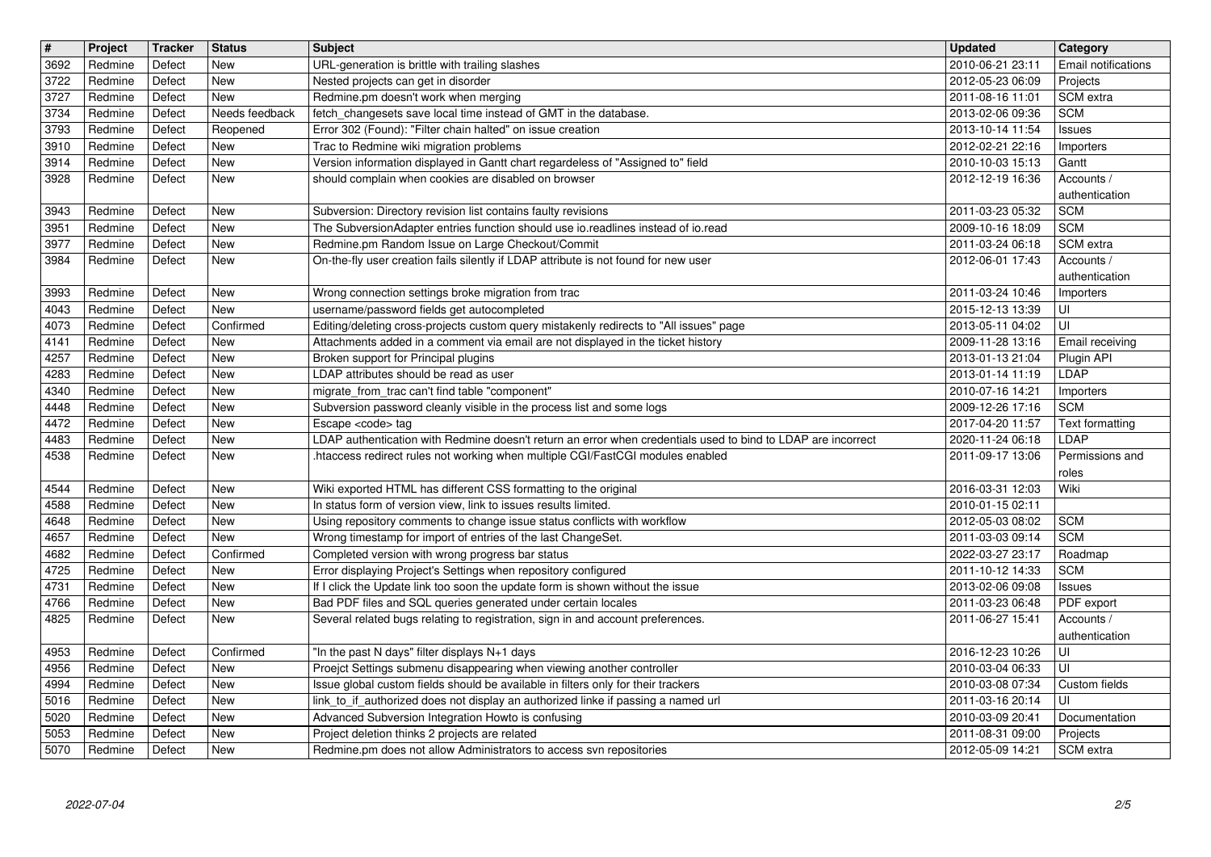| $\overline{\mathbf{t}}$ | Project            | <b>Tracker</b>   | <b>Status</b>            | <b>Subject</b>                                                                                                                                                                                 | <b>Updated</b>                       | Category                        |
|-------------------------|--------------------|------------------|--------------------------|------------------------------------------------------------------------------------------------------------------------------------------------------------------------------------------------|--------------------------------------|---------------------------------|
| 3692<br>3722            | Redmine<br>Redmine | Defect<br>Defect | New<br><b>New</b>        | URL-generation is brittle with trailing slashes<br>Nested projects can get in disorder                                                                                                         | 2010-06-21 23:11<br>2012-05-23 06:09 | Email notifications<br>Projects |
| 3727                    | Redmine            | Defect           | <b>New</b>               | Redmine.pm doesn't work when merging                                                                                                                                                           | 2011-08-16 11:01                     | SCM extra                       |
| 3734                    | Redmine            | Defect           | Needs feedback           | fetch_changesets save local time instead of GMT in the database.                                                                                                                               | 2013-02-06 09:36<br>2013-10-14 11:54 | <b>SCM</b>                      |
| 3793<br>3910            | Redmine<br>Redmine | Defect<br>Defect | Reopened<br><b>New</b>   | Error 302 (Found): "Filter chain halted" on issue creation<br>Trac to Redmine wiki migration problems                                                                                          | 2012-02-21 22:16                     | Issues<br>Importers             |
| 3914                    | Redmine            | Defect           | New                      | Version information displayed in Gantt chart regardeless of "Assigned to" field                                                                                                                | 2010-10-03 15:13                     | Gantt                           |
| 3928                    | Redmine            | Defect           | <b>New</b>               | should complain when cookies are disabled on browser                                                                                                                                           | 2012-12-19 16:36                     | Accounts /<br>authentication    |
| 3943                    | Redmine            | Defect           | <b>New</b>               | Subversion: Directory revision list contains faulty revisions                                                                                                                                  | 2011-03-23 05:32                     | <b>SCM</b>                      |
| 3951                    | Redmine            | Defect           | New                      | The SubversionAdapter entries function should use io.readlines instead of io.read                                                                                                              | 2009-10-16 18:09                     | <b>SCM</b>                      |
| 3977<br>3984            | Redmine<br>Redmine | Defect<br>Defect | <b>New</b><br>New        | Redmine.pm Random Issue on Large Checkout/Commit<br>On-the-fly user creation fails silently if LDAP attribute is not found for new user                                                        | 2011-03-24 06:18<br>2012-06-01 17:43 | SCM extra<br>Accounts /         |
|                         |                    |                  |                          |                                                                                                                                                                                                |                                      | authentication                  |
| 3993                    | Redmine            | Defect           | <b>New</b>               | Wrong connection settings broke migration from trac                                                                                                                                            | 2011-03-24 10:46                     | Importers                       |
| 4043<br>4073            | Redmine<br>Redmine | Defect<br>Defect | New<br>Confirmed         | username/password fields get autocompleted<br>Editing/deleting cross-projects custom query mistakenly redirects to "All issues" page                                                           | 2015-12-13 13:39<br>2013-05-11 04:02 | UI<br>UI                        |
| 4141                    | Redmine            | Defect           | New                      | Attachments added in a comment via email are not displayed in the ticket history                                                                                                               | 2009-11-28 13:16                     | Email receiving                 |
| 4257                    | Redmine            | Defect           | New                      | Broken support for Principal plugins                                                                                                                                                           | 2013-01-13 21:04                     | Plugin API                      |
| 4283<br>4340            | Redmine<br>Redmine | Defect<br>Defect | <b>New</b><br><b>New</b> | LDAP attributes should be read as user<br>migrate_from_trac can't find table "component"                                                                                                       | 2013-01-14 11:19<br>2010-07-16 14:21 | LDAP<br>Importers               |
| 4448                    | Redmine            | Defect           | <b>New</b>               | Subversion password cleanly visible in the process list and some logs                                                                                                                          | 2009-12-26 17:16                     | <b>SCM</b>                      |
| 4472                    | Redmine            | Defect           | New                      | Escape <code> tag</code>                                                                                                                                                                       | 2017-04-20 11:57                     | Text formatting                 |
| 4483<br>4538            | Redmine<br>Redmine | Defect<br>Defect | <b>New</b><br><b>New</b> | LDAP authentication with Redmine doesn't return an error when credentials used to bind to LDAP are incorrect<br>.htaccess redirect rules not working when multiple CGI/FastCGI modules enabled | 2020-11-24 06:18<br>2011-09-17 13:06 | LDAP<br>Permissions and         |
|                         |                    |                  |                          |                                                                                                                                                                                                |                                      | roles                           |
| 4544                    | Redmine            | Defect           | New                      | Wiki exported HTML has different CSS formatting to the original                                                                                                                                | 2016-03-31 12:03                     | Wiki                            |
| 4588<br>4648            | Redmine<br>Redmine | Defect<br>Defect | New<br><b>New</b>        | In status form of version view, link to issues results limited.<br>Using repository comments to change issue status conflicts with workflow                                                    | 2010-01-15 02:11<br>2012-05-03 08:02 | <b>SCM</b>                      |
| 4657                    | Redmine            | Defect           | New                      | Wrong timestamp for import of entries of the last ChangeSet.                                                                                                                                   | 2011-03-03 09:14                     | <b>SCM</b>                      |
| 4682                    | Redmine            | Defect           | Confirmed                | Completed version with wrong progress bar status                                                                                                                                               | 2022-03-27 23:17                     | Roadmap                         |
| 4725<br>4731            | Redmine<br>Redmine | Defect<br>Defect | New<br>New               | Error displaying Project's Settings when repository configured<br>If I click the Update link too soon the update form is shown without the issue                                               | 2011-10-12 14:33<br>2013-02-06 09:08 | <b>SCM</b><br>Issues            |
| 4766                    | Redmine            | Defect           | <b>New</b>               | Bad PDF files and SQL queries generated under certain locales                                                                                                                                  | 2011-03-23 06:48                     | PDF export                      |
| 4825                    | Redmine            | Defect           | <b>New</b>               | Several related bugs relating to registration, sign in and account preferences.                                                                                                                | 2011-06-27 15:41                     | Accounts /                      |
|                         |                    | Defect           | Confirmed                |                                                                                                                                                                                                |                                      | authentication                  |
| 4953<br>4956            | Redmine<br>Redmine | Defect           | New                      | "In the past N days" filter displays N+1 days<br>Proejct Settings submenu disappearing when viewing another controller                                                                         | 2016-12-23 10:26<br>2010-03-04 06:33 | UI<br>l UI                      |
| 4994                    | Redmine            | Defect           | New                      | Issue global custom fields should be available in filters only for their trackers                                                                                                              | 2010-03-08 07:34                     | Custom fields                   |
| 5016                    | Redmine            | Defect           | New                      | link_to_if_authorized does not display an authorized linke if passing a named url                                                                                                              | 2011-03-16 20:14                     | ΙUΙ                             |
| 5020<br>5053            | Redmine<br>Redmine | Defect<br>Defect | New<br>New               | Advanced Subversion Integration Howto is confusing<br>Project deletion thinks 2 projects are related                                                                                           | 2010-03-09 20:41<br>2011-08-31 09:00 | Documentation<br>Projects       |
| 5070                    | Redmine            | Defect           | New                      | Redmine.pm does not allow Administrators to access svn repositories                                                                                                                            | 2012-05-09 14:21                     | SCM extra                       |
|                         |                    |                  |                          |                                                                                                                                                                                                |                                      |                                 |
|                         |                    |                  |                          |                                                                                                                                                                                                |                                      |                                 |
|                         |                    |                  |                          |                                                                                                                                                                                                |                                      |                                 |
|                         |                    |                  |                          |                                                                                                                                                                                                |                                      |                                 |
|                         |                    |                  |                          |                                                                                                                                                                                                |                                      |                                 |
|                         |                    |                  |                          |                                                                                                                                                                                                |                                      |                                 |
|                         |                    |                  |                          |                                                                                                                                                                                                |                                      |                                 |
|                         |                    |                  |                          |                                                                                                                                                                                                |                                      |                                 |
|                         |                    |                  |                          |                                                                                                                                                                                                |                                      |                                 |
|                         |                    |                  |                          |                                                                                                                                                                                                |                                      |                                 |
|                         |                    |                  |                          |                                                                                                                                                                                                |                                      |                                 |
|                         |                    |                  |                          |                                                                                                                                                                                                |                                      |                                 |
|                         |                    |                  |                          |                                                                                                                                                                                                |                                      |                                 |
|                         |                    |                  |                          |                                                                                                                                                                                                |                                      |                                 |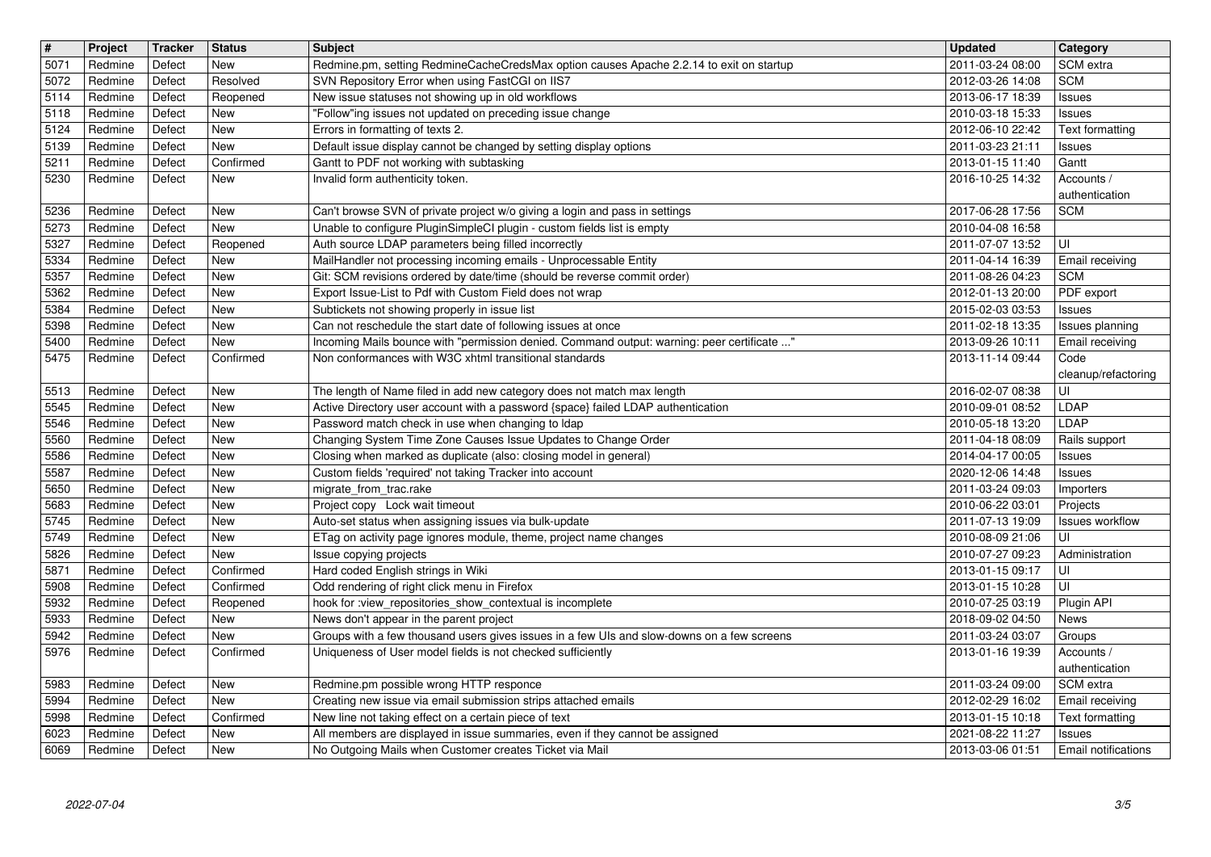| $\overline{\mathbf{t}}$ | Project             | <b>Tracker</b>   | <b>Status</b>            | <b>Subject</b>                                                                                                                                            | <b>Updated</b>                       | Category                                    |
|-------------------------|---------------------|------------------|--------------------------|-----------------------------------------------------------------------------------------------------------------------------------------------------------|--------------------------------------|---------------------------------------------|
| 5071<br>5072            | Redmine<br>Redmine  | Defect<br>Defect | <b>New</b><br>Resolved   | Redmine.pm, setting RedmineCacheCredsMax option causes Apache 2.2.14 to exit on startup<br>SVN Repository Error when using FastCGI on IIS7                | 2011-03-24 08:00<br>2012-03-26 14:08 | SCM extra<br><b>SCM</b>                     |
| 5114                    | Redmine             | Defect           | Reopened                 | New issue statuses not showing up in old workflows                                                                                                        | 2013-06-17 18:39                     | <b>Issues</b>                               |
| 5118                    | Redmine             | Defect           | New                      | "Follow"ing issues not updated on preceding issue change                                                                                                  | 2010-03-18 15:33                     | <b>Issues</b>                               |
| 5124                    | Redmine             | Defect<br>Defect | <b>New</b><br><b>New</b> | Errors in formatting of texts 2.                                                                                                                          | 2012-06-10 22:42                     | Text formatting                             |
| 5139<br>5211            | Redmine<br>Redmine  | Defect           | Confirmed                | Default issue display cannot be changed by setting display options<br>Gantt to PDF not working with subtasking                                            | 2011-03-23 21:11<br>2013-01-15 11:40 | <b>Issues</b><br>Gantt                      |
| 5230                    | Redmine             | Defect           | New                      | Invalid form authenticity token.                                                                                                                          | 2016-10-25 14:32                     | Accounts /                                  |
| 5236                    | Redmine             | Defect           | New                      |                                                                                                                                                           | 2017-06-28 17:56                     | authentication<br><b>SCM</b>                |
| 5273                    | Redmine             | Defect           | New                      | Can't browse SVN of private project w/o giving a login and pass in settings<br>Unable to configure PluginSimpleCI plugin - custom fields list is empty    | 2010-04-08 16:58                     |                                             |
| 5327                    | Redmine             | Defect           | Reopened                 | Auth source LDAP parameters being filled incorrectly                                                                                                      | 2011-07-07 13:52                     | UI                                          |
| 5334                    | Redmine             | Defect           | New                      | MailHandler not processing incoming emails - Unprocessable Entity                                                                                         | 2011-04-14 16:39                     | Email receiving                             |
| 5357<br>5362            | Redmine<br>Redmine  | Defect<br>Defect | New<br><b>New</b>        | Git: SCM revisions ordered by date/time (should be reverse commit order)<br>Export Issue-List to Pdf with Custom Field does not wrap                      | 2011-08-26 04:23<br>2012-01-13 20:00 | <b>SCM</b><br>PDF export                    |
| 5384                    | Redmine             | Defect           | <b>New</b>               | Subtickets not showing properly in issue list                                                                                                             | 2015-02-03 03:53                     | <b>Issues</b>                               |
| 5398                    | Redmine             | Defect           | New                      | Can not reschedule the start date of following issues at once                                                                                             | 2011-02-18 13:35                     | Issues planning                             |
| 5400<br>5475            | Redmine<br>Redmine  | Defect<br>Defect | New<br>Confirmed         | Incoming Mails bounce with "permission denied. Command output: warning: peer certificate "<br>Non conformances with W3C xhtml transitional standards      | 2013-09-26 10:11<br>2013-11-14 09:44 | Email receiving<br>Code                     |
|                         |                     |                  |                          |                                                                                                                                                           |                                      | cleanup/refactoring                         |
| 5513                    | Redmine             | Defect           | New                      | The length of Name filed in add new category does not match max length                                                                                    | 2016-02-07 08:38                     | UI                                          |
| 5545<br>5546            | Redmine<br>Redmine  | Defect<br>Defect | <b>New</b><br>New        | Active Directory user account with a password {space} failed LDAP authentication<br>Password match check in use when changing to Idap                     | 2010-09-01 08:52<br>2010-05-18 13:20 | LDAP<br>LDAP                                |
| 5560                    | Redmine             | Defect           | <b>New</b>               | Changing System Time Zone Causes Issue Updates to Change Order                                                                                            | 2011-04-18 08:09                     | Rails support                               |
| 5586                    | Redmine             | Defect           | New                      | Closing when marked as duplicate (also: closing model in general)                                                                                         | 2014-04-17 00:05                     | <b>Issues</b>                               |
| 5587<br>5650            | Redmine<br>Redmine  | Defect<br>Defect | <b>New</b><br><b>New</b> | Custom fields 'required' not taking Tracker into account<br>migrate_from_trac.rake                                                                        | 2020-12-06 14:48                     | Issues                                      |
| 5683                    | Redmine             | Defect           | <b>New</b>               | Project copy Lock wait timeout                                                                                                                            | 2011-03-24 09:03<br>2010-06-22 03:01 | Importers<br>Projects                       |
| 5745                    | Redmine             | Defect           | <b>New</b>               | Auto-set status when assigning issues via bulk-update                                                                                                     | 2011-07-13 19:09                     | Issues workflow                             |
| 5749                    | Redmine             | Defect           | <b>New</b>               | ETag on activity page ignores module, theme, project name changes                                                                                         | 2010-08-09 21:06                     | UI                                          |
| 5826<br>5871            | Redmine             | Defect           | New                      | Issue copying projects<br>Hard coded English strings in Wiki                                                                                              | 2010-07-27 09:23                     | Administration                              |
| 5908                    | Redmine<br>Redmine  | Defect<br>Defect | Confirmed<br>Confirmed   | Odd rendering of right click menu in Firefox                                                                                                              | 2013-01-15 09:17<br>2013-01-15 10:28 | UI<br>UI                                    |
| 5932                    | Redmine             | Defect           | Reopened                 | hook for :view_repositories_show_contextual is incomplete                                                                                                 | 2010-07-25 03:19                     | Plugin API                                  |
| 5933                    | Redmine             | Defect           | New                      | News don't appear in the parent project                                                                                                                   | 2018-09-02 04:50                     | <b>News</b>                                 |
| 5942<br>5976            | Redmine<br>Redmine  | Defect<br>Defect | New<br>Confirmed         | Groups with a few thousand users gives issues in a few UIs and slow-downs on a few screens<br>Uniqueness of User model fields is not checked sufficiently | 2011-03-24 03:07<br>2013-01-16 19:39 | Groups<br>Accounts /                        |
|                         |                     |                  |                          |                                                                                                                                                           |                                      | authentication                              |
|                         | 5983 Redmine Defect |                  | New                      | Redmine.pm possible wrong HTTP responce                                                                                                                   | 2011-03-24 09:00                     | SCM extra                                   |
| 5994<br>5998            | Redmine<br>Redmine  | Defect<br>Defect | New<br>Confirmed         | Creating new issue via email submission strips attached emails<br>New line not taking effect on a certain piece of text                                   | 2012-02-29 16:02<br>2013-01-15 10:18 | Email receiving<br>Text formatting          |
|                         | Redmine             | Defect           | New<br>New               | All members are displayed in issue summaries, even if they cannot be assigned<br>No Outgoing Mails when Customer creates Ticket via Mail                  | 2021-08-22 11:27<br>2013-03-06 01:51 | <b>Issues</b><br><b>Email notifications</b> |
| 6069<br>Redmine         |                     |                  |                          |                                                                                                                                                           |                                      |                                             |
|                         | 2022-07-04          |                  |                          |                                                                                                                                                           |                                      | 3/5                                         |
| 6023                    |                     |                  |                          |                                                                                                                                                           |                                      |                                             |
|                         |                     |                  |                          |                                                                                                                                                           |                                      |                                             |
|                         |                     |                  |                          |                                                                                                                                                           |                                      |                                             |
|                         |                     |                  |                          |                                                                                                                                                           |                                      |                                             |
|                         |                     |                  |                          |                                                                                                                                                           |                                      |                                             |
|                         |                     |                  |                          |                                                                                                                                                           |                                      |                                             |
|                         |                     |                  |                          |                                                                                                                                                           |                                      |                                             |
|                         |                     |                  |                          |                                                                                                                                                           |                                      |                                             |
|                         |                     |                  |                          |                                                                                                                                                           |                                      |                                             |
|                         |                     |                  |                          |                                                                                                                                                           |                                      |                                             |
|                         |                     |                  |                          |                                                                                                                                                           |                                      |                                             |
|                         |                     |                  |                          |                                                                                                                                                           |                                      |                                             |
|                         |                     |                  |                          |                                                                                                                                                           |                                      |                                             |
|                         |                     |                  |                          |                                                                                                                                                           |                                      |                                             |
|                         |                     |                  |                          |                                                                                                                                                           |                                      |                                             |
|                         |                     |                  |                          |                                                                                                                                                           |                                      |                                             |
|                         |                     |                  |                          |                                                                                                                                                           |                                      |                                             |
|                         |                     |                  |                          |                                                                                                                                                           |                                      |                                             |
|                         |                     |                  |                          |                                                                                                                                                           |                                      |                                             |
|                         |                     |                  |                          |                                                                                                                                                           |                                      |                                             |
|                         |                     |                  |                          |                                                                                                                                                           |                                      |                                             |
|                         |                     |                  |                          |                                                                                                                                                           |                                      |                                             |
|                         |                     |                  |                          |                                                                                                                                                           |                                      |                                             |
|                         |                     |                  |                          |                                                                                                                                                           |                                      |                                             |
|                         |                     |                  |                          |                                                                                                                                                           |                                      |                                             |
|                         |                     |                  |                          |                                                                                                                                                           |                                      |                                             |
|                         |                     |                  |                          |                                                                                                                                                           |                                      |                                             |
|                         |                     |                  |                          |                                                                                                                                                           |                                      |                                             |
|                         |                     |                  |                          |                                                                                                                                                           |                                      |                                             |
|                         |                     |                  |                          |                                                                                                                                                           |                                      |                                             |
|                         |                     |                  |                          |                                                                                                                                                           |                                      |                                             |
|                         |                     |                  |                          |                                                                                                                                                           |                                      |                                             |
|                         |                     |                  |                          |                                                                                                                                                           |                                      |                                             |
|                         |                     |                  |                          |                                                                                                                                                           |                                      |                                             |
|                         |                     |                  |                          |                                                                                                                                                           |                                      |                                             |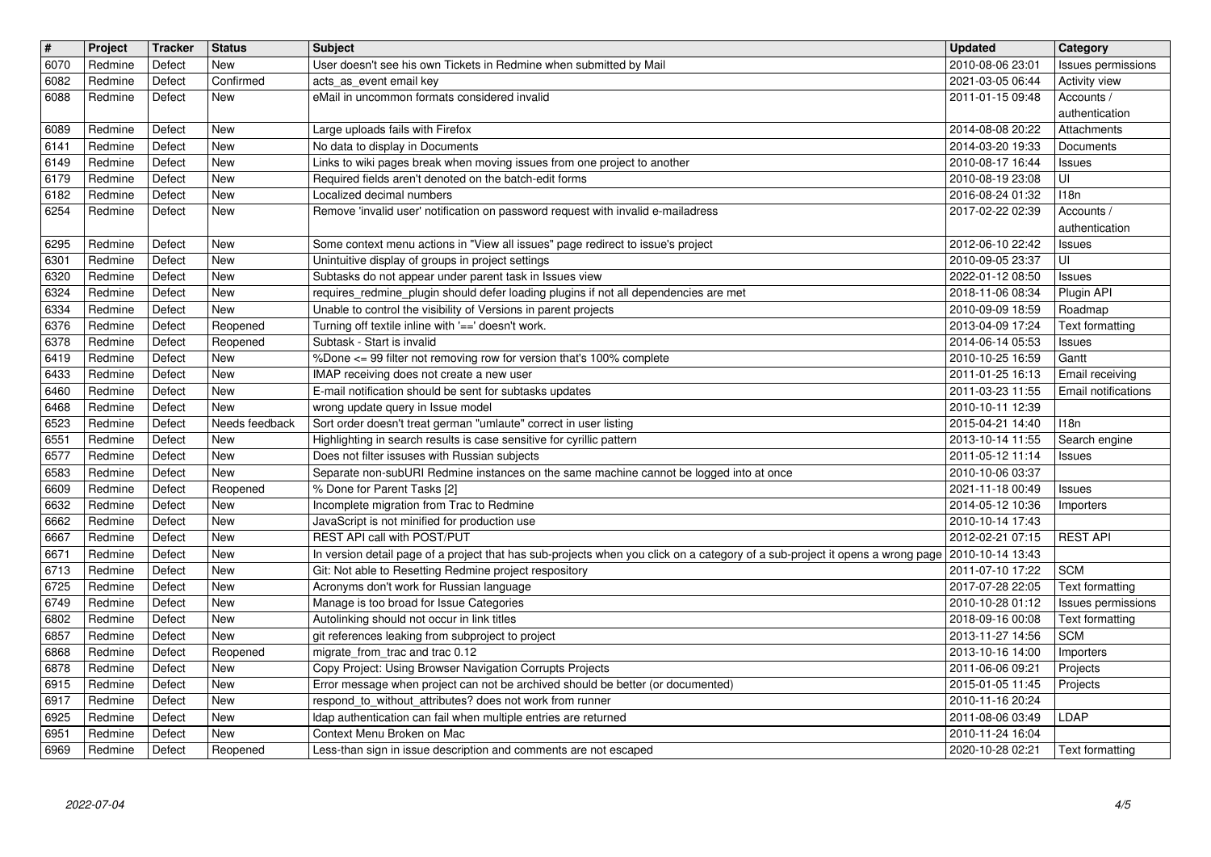| $\sqrt{t}$   | Project            | <b>Tracker</b>   | <b>Status</b>                | <b>Subject</b>                                                                                                                                  | <b>Updated</b>                                   | Category                              |
|--------------|--------------------|------------------|------------------------------|-------------------------------------------------------------------------------------------------------------------------------------------------|--------------------------------------------------|---------------------------------------|
| 6070         | Redmine            | Defect           | <b>New</b>                   | User doesn't see his own Tickets in Redmine when submitted by Mail                                                                              | 2010-08-06 23:01                                 | Issues permissions                    |
| 6082         | Redmine            | Defect           | Confirmed                    | acts_as_event email key                                                                                                                         | 2021-03-05 06:44                                 | Activity view                         |
| 6088         | Redmine            | Defect           | <b>New</b>                   | eMail in uncommon formats considered invalid                                                                                                    | 2011-01-15 09:48                                 | Accounts /<br>authentication          |
| 6089         | Redmine            | Defect           | <b>New</b>                   | Large uploads fails with Firefox                                                                                                                | 2014-08-08 20:22                                 | Attachments                           |
| 6141         | Redmine            | Defect           | <b>New</b>                   | No data to display in Documents                                                                                                                 | 2014-03-20 19:33                                 | Documents                             |
| 6149         | Redmine            | Defect           | <b>New</b>                   | Links to wiki pages break when moving issues from one project to another                                                                        | 2010-08-17 16:44                                 | <b>Issues</b>                         |
| 6179<br>6182 | Redmine<br>Redmine | Defect<br>Defect | <b>New</b><br><b>New</b>     | Required fields aren't denoted on the batch-edit forms<br>Localized decimal numbers                                                             | 2010-08-19 23:08<br>2016-08-24 01:32             | UI<br>118n                            |
| 6254         | Redmine            | Defect           | <b>New</b>                   | Remove 'invalid user' notification on password request with invalid e-mailadress                                                                | 2017-02-22 02:39                                 | Accounts /                            |
|              |                    |                  |                              |                                                                                                                                                 |                                                  | authentication                        |
| 6295         | Redmine            | Defect           | <b>New</b>                   | Some context menu actions in "View all issues" page redirect to issue's project                                                                 | 2012-06-10 22:42                                 | <b>Issues</b>                         |
| 6301         | Redmine            | Defect           | <b>New</b>                   | Unintuitive display of groups in project settings                                                                                               | 2010-09-05 23:37                                 | UI                                    |
| 6320<br>6324 | Redmine<br>Redmine | Defect<br>Defect | <b>New</b><br>New            | Subtasks do not appear under parent task in Issues view<br>requires_redmine_plugin should defer loading plugins if not all dependencies are met | 2022-01-12 08:50<br>2018-11-06 08:34             | <b>Issues</b><br>Plugin API           |
| 6334         | Redmine            | Defect           | New                          | Unable to control the visibility of Versions in parent projects                                                                                 | 2010-09-09 18:59                                 | Roadmap                               |
| 6376         | Redmine            | Defect           | Reopened                     | Turning off textile inline with '==' doesn't work.                                                                                              | 2013-04-09 17:24                                 | Text formatting                       |
| 6378<br>6419 | Redmine<br>Redmine | Defect<br>Defect | Reopened<br><b>New</b>       | Subtask - Start is invalid<br>%Done <= 99 filter not removing row for version that's 100% complete                                              | 2014-06-14 05:53<br>2010-10-25 16:59             | Issues<br>Gantt                       |
| 6433         | Redmine            | Defect           | <b>New</b>                   | IMAP receiving does not create a new user                                                                                                       | 2011-01-25 16:13                                 | Email receiving                       |
| 6460         | Redmine            | Defect           | <b>New</b>                   | E-mail notification should be sent for subtasks updates                                                                                         | 2011-03-23 11:55                                 | <b>Email notifications</b>            |
| 6468         | Redmine            | Defect           | New                          | wrong update query in Issue model                                                                                                               | 2010-10-11 12:39                                 |                                       |
| 6523<br>6551 | Redmine<br>Redmine | Defect<br>Defect | Needs feedback<br><b>New</b> | Sort order doesn't treat german "umlaute" correct in user listing<br>Highlighting in search results is case sensitive for cyrillic pattern      | 2015-04-21 14:40<br>2013-10-14 11:55             | 118n<br>Search engine                 |
| 6577         | Redmine            | Defect           | <b>New</b>                   | Does not filter issuses with Russian subjects                                                                                                   | 2011-05-12 11:14                                 | <b>Issues</b>                         |
| 6583         | Redmine            | Defect           | <b>New</b>                   | Separate non-subURI Redmine instances on the same machine cannot be logged into at once                                                         | 2010-10-06 03:37                                 |                                       |
| 6609         | Redmine            | Defect           | Reopened                     | % Done for Parent Tasks [2]                                                                                                                     | 2021-11-18 00:49                                 | <b>Issues</b>                         |
| 6632<br>6662 | Redmine<br>Redmine | Defect<br>Defect | <b>New</b><br><b>New</b>     | Incomplete migration from Trac to Redmine<br>JavaScript is not minified for production use                                                      | 2014-05-12 10:36<br>2010-10-14 17:43             | Importers                             |
| 6667         | Redmine            | Defect           | <b>New</b>                   | REST API call with POST/PUT                                                                                                                     | 2012-02-21 07:15                                 | <b>REST API</b>                       |
| 6671         | Redmine            | Defect           | <b>New</b>                   | In version detail page of a project that has sub-projects when you click on a category of a sub-project it opens a wrong page 2010-10-14 13:43  |                                                  |                                       |
| 6713         | Redmine            | Defect           | <b>New</b>                   | Git: Not able to Resetting Redmine project respository                                                                                          | 2011-07-10 17:22                                 | <b>SCM</b>                            |
| 6725<br>6749 | Redmine<br>Redmine | Defect<br>Defect | <b>New</b><br>New            | Acronyms don't work for Russian language<br>Manage is too broad for Issue Categories                                                            | 2017-07-28 22:05<br>2010-10-28 01:12             | Text formatting<br>Issues permissions |
| 6802         | Redmine            | Defect           | <b>New</b>                   | Autolinking should not occur in link titles                                                                                                     | 2018-09-16 00:08                                 | <b>Text formatting</b>                |
| 6857         | Redmine            | Defect           | New                          | git references leaking from subproject to project                                                                                               | 2013-11-27 14:56                                 | <b>SCM</b>                            |
| 6868         | Redmine            | Defect           | Reopened                     | migrate_from_trac and trac 0.12                                                                                                                 | 2013-10-16 14:00                                 | Importers                             |
| 6878<br>6915 | Redmine<br>Redmine | Defect<br>Defect | New<br>New                   | Copy Project: Using Browser Navigation Corrupts Projects<br>Error message when project can not be archived should be better (or documented)     | 2011-06-06 09:21<br>2015-01-05 11:45    Projects | Projects                              |
| 6917         | Redmine            | Defect           | New                          | respond to without attributes? does not work from runner                                                                                        | 2010-11-16 20:24                                 |                                       |
| 6925         | Redmine            | Defect           | New                          | Idap authentication can fail when multiple entries are returned                                                                                 | 2011-08-06 03:49                                 | LDAP                                  |
| 6951<br>6969 | Redmine<br>Redmine | Defect<br>Defect | New<br>Reopened              | Context Menu Broken on Mac<br>Less-than sign in issue description and comments are not escaped                                                  | 2010-11-24 16:04<br>2020-10-28 02:21             | Text formatting                       |
|              |                    |                  |                              |                                                                                                                                                 |                                                  |                                       |
|              |                    |                  |                              |                                                                                                                                                 |                                                  |                                       |
|              |                    |                  |                              |                                                                                                                                                 |                                                  |                                       |
|              |                    |                  |                              |                                                                                                                                                 |                                                  |                                       |
|              |                    |                  |                              |                                                                                                                                                 |                                                  |                                       |
|              |                    |                  |                              |                                                                                                                                                 |                                                  |                                       |
|              |                    |                  |                              |                                                                                                                                                 |                                                  |                                       |
|              |                    |                  |                              |                                                                                                                                                 |                                                  |                                       |
|              |                    |                  |                              |                                                                                                                                                 |                                                  |                                       |
|              |                    |                  |                              |                                                                                                                                                 |                                                  |                                       |
|              |                    |                  |                              |                                                                                                                                                 |                                                  |                                       |
|              |                    |                  |                              |                                                                                                                                                 |                                                  |                                       |
|              |                    |                  |                              |                                                                                                                                                 |                                                  |                                       |
|              |                    |                  |                              |                                                                                                                                                 |                                                  |                                       |
|              |                    |                  |                              |                                                                                                                                                 |                                                  |                                       |
|              |                    |                  |                              |                                                                                                                                                 |                                                  |                                       |